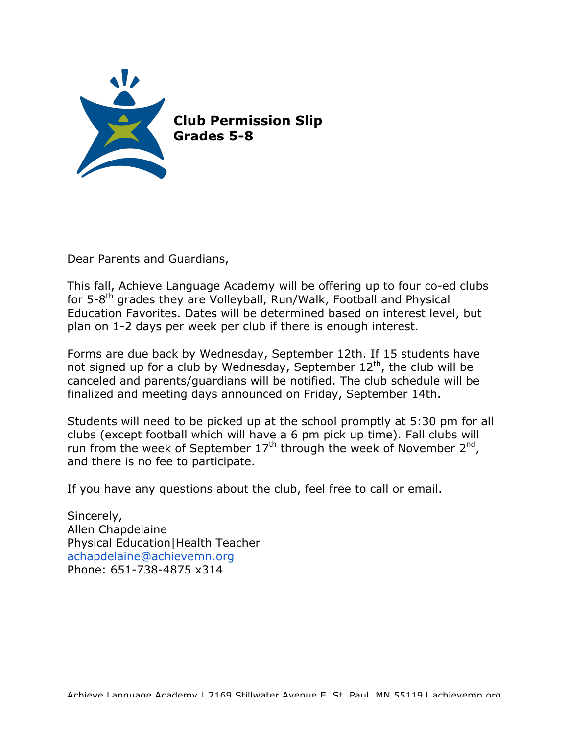

Dear Parents and Guardians,

This fall, Achieve Language Academy will be offering up to four co-ed clubs for 5-8<sup>th</sup> grades they are Volleyball, Run/Walk, Football and Physical Education Favorites. Dates will be determined based on interest level, but plan on 1-2 days per week per club if there is enough interest.

Forms are due back by Wednesday, September 12th. If 15 students have not signed up for a club by Wednesday, September  $12<sup>th</sup>$ , the club will be canceled and parents/guardians will be notified. The club schedule will be finalized and meeting days announced on Friday, September 14th.

Students will need to be picked up at the school promptly at 5:30 pm for all clubs (except football which will have a 6 pm pick up time). Fall clubs will run from the week of September  $17<sup>th</sup>$  through the week of November  $2<sup>nd</sup>$ , and there is no fee to participate.

If you have any questions about the club, feel free to call or email.

Sincerely, Allen Chapdelaine Physical Education|Health Teacher achapdelaine@achievemn.org Phone: 651-738-4875 x314